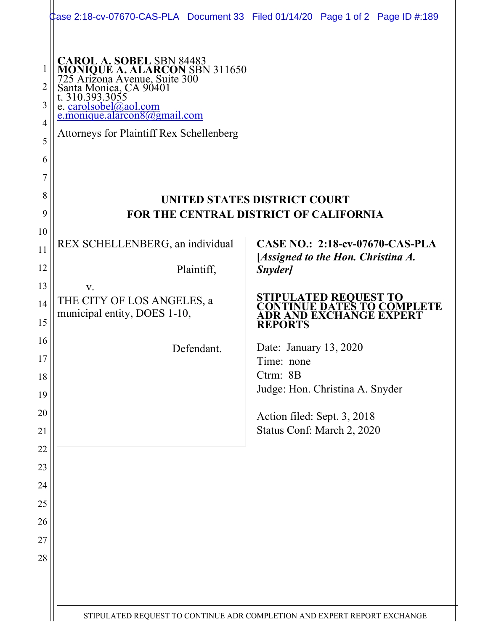|                                      | Case 2:18-cv-07670-CAS-PLA Document 33 Filed 01/14/20 Page 1 of 2 Page ID #:189                                                                                                                                                                                          |  |                                                           |  |                                                                                |
|--------------------------------------|--------------------------------------------------------------------------------------------------------------------------------------------------------------------------------------------------------------------------------------------------------------------------|--|-----------------------------------------------------------|--|--------------------------------------------------------------------------------|
| 1<br>2<br>3<br>4<br>5<br>6<br>7<br>8 | <b>CAROL A. SOBEL SBN 84483</b><br>MONIQUE A. ALARCON SBN 311650<br>725 Arizona Avenue, Suite 300<br>Santa Monica, CA 90401<br>t. 310.393.3055<br>e. carolsobel@aol.com<br>$e$ . monique. alarcon $8\omega$ gmail.com<br><b>Attorneys for Plaintiff Rex Schellenberg</b> |  |                                                           |  |                                                                                |
| 9                                    | UNITED STATES DISTRICT COURT<br>FOR THE CENTRAL DISTRICT OF CALIFORNIA                                                                                                                                                                                                   |  |                                                           |  |                                                                                |
| 10                                   | REX SCHELLENBERG, an individual                                                                                                                                                                                                                                          |  |                                                           |  | <b>CASE NO.: 2:18-cv-07670-CAS-PLA</b>                                         |
| 11<br>12                             | Plaintiff,                                                                                                                                                                                                                                                               |  | [Assigned to the Hon. Christina A.<br>Snyder]             |  |                                                                                |
| 13                                   | V.                                                                                                                                                                                                                                                                       |  |                                                           |  |                                                                                |
| 14<br>15                             | THE CITY OF LOS ANGELES, a<br>municipal entity, DOES 1-10,                                                                                                                                                                                                               |  | <b>REPORTS</b>                                            |  | STIPULATED REQUEST TO<br>CONTINUE DATES TO COMPLETE<br>ADR AND EXCHANGE EXPERT |
| 16                                   | Defendant.                                                                                                                                                                                                                                                               |  | Date: January 13, 2020                                    |  |                                                                                |
| 17                                   |                                                                                                                                                                                                                                                                          |  | Time: none                                                |  |                                                                                |
| 18                                   |                                                                                                                                                                                                                                                                          |  | Ctrm: 8B                                                  |  |                                                                                |
| 19                                   |                                                                                                                                                                                                                                                                          |  | Judge: Hon. Christina A. Snyder                           |  |                                                                                |
| 20<br>21                             |                                                                                                                                                                                                                                                                          |  | Action filed: Sept. 3, 2018<br>Status Conf: March 2, 2020 |  |                                                                                |
| 22                                   |                                                                                                                                                                                                                                                                          |  |                                                           |  |                                                                                |
| 23                                   |                                                                                                                                                                                                                                                                          |  |                                                           |  |                                                                                |
| 24<br>25                             |                                                                                                                                                                                                                                                                          |  |                                                           |  |                                                                                |
| 26                                   |                                                                                                                                                                                                                                                                          |  |                                                           |  |                                                                                |
| 27                                   |                                                                                                                                                                                                                                                                          |  |                                                           |  |                                                                                |
| 28                                   |                                                                                                                                                                                                                                                                          |  |                                                           |  |                                                                                |
|                                      |                                                                                                                                                                                                                                                                          |  |                                                           |  |                                                                                |
|                                      |                                                                                                                                                                                                                                                                          |  |                                                           |  |                                                                                |
|                                      | STIPULATED REQUEST TO CONTINUE ADR COMPLETION AND EXPERT REPORT EXCHANGE                                                                                                                                                                                                 |  |                                                           |  |                                                                                |